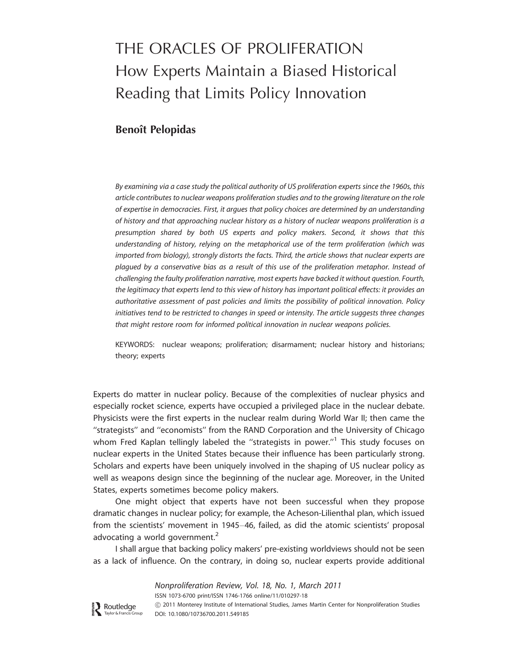# THE ORACLES OF PROLIFERATION How Experts Maintain a Biased Historical Reading that Limits Policy Innovation

## Benoît Pelopidas

By examining via a case study the political authority of US proliferation experts since the 1960s, this article contributes to nuclear weapons proliferation studies and to the growing literature on the role of expertise in democracies. First, it argues that policy choices are determined by an understanding of history and that approaching nuclear history as a history of nuclear weapons proliferation is a presumption shared by both US experts and policy makers. Second, it shows that this understanding of history, relying on the metaphorical use of the term proliferation (which was imported from biology), strongly distorts the facts. Third, the article shows that nuclear experts are plagued by a conservative bias as a result of this use of the proliferation metaphor. Instead of challenging the faulty proliferation narrative, most experts have backed it without question. Fourth, the legitimacy that experts lend to this view of history has important political effects: it provides an authoritative assessment of past policies and limits the possibility of political innovation. Policy initiatives tend to be restricted to changes in speed or intensity. The article suggests three changes that might restore room for informed political innovation in nuclear weapons policies.

KEYWORDS: nuclear weapons; proliferation; disarmament; nuclear history and historians; theory; experts

Experts do matter in nuclear policy. Because of the complexities of nuclear physics and especially rocket science, experts have occupied a privileged place in the nuclear debate. Physicists were the first experts in the nuclear realm during World War II; then came the ''strategists'' and ''economists'' from the RAND Corporation and the University of Chicago whom Fred Kaplan tellingly labeled the "strategists in power."<sup>1</sup> This study focuses on nuclear experts in the United States because their influence has been particularly strong. Scholars and experts have been uniquely involved in the shaping of US nuclear policy as well as weapons design since the beginning of the nuclear age. Moreover, in the United States, experts sometimes become policy makers.

One might object that experts have not been successful when they propose dramatic changes in nuclear policy; for example, the Acheson-Lilienthal plan, which issued from the scientists' movement in 1945-46, failed, as did the atomic scientists' proposal advocating a world government. $2$ 

I shall argue that backing policy makers' pre-existing worldviews should not be seen as a lack of influence. On the contrary, in doing so, nuclear experts provide additional

Nonproliferation Review, Vol. 18, No. 1, March 2011





– 2011 Monterey Institute of International Studies, James Martin Center for Nonproliferation Studies DOI: 10.1080/10736700.2011.549185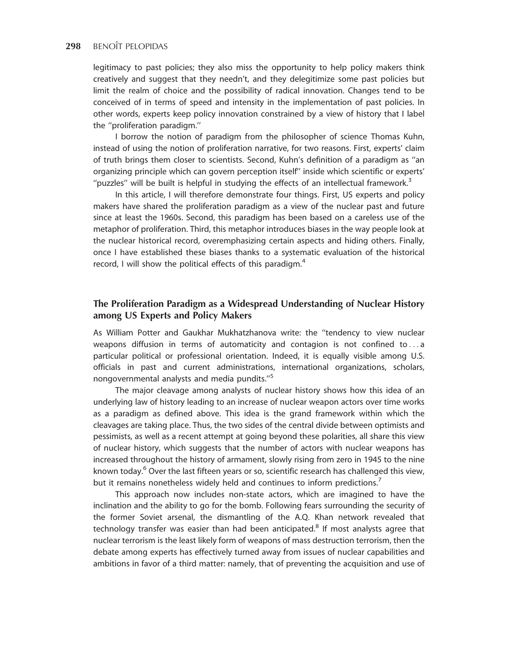legitimacy to past policies; they also miss the opportunity to help policy makers think creatively and suggest that they needn't, and they delegitimize some past policies but limit the realm of choice and the possibility of radical innovation. Changes tend to be conceived of in terms of speed and intensity in the implementation of past policies. In other words, experts keep policy innovation constrained by a view of history that I label the ''proliferation paradigm.''

I borrow the notion of paradigm from the philosopher of science Thomas Kuhn, instead of using the notion of proliferation narrative, for two reasons. First, experts' claim of truth brings them closer to scientists. Second, Kuhn's definition of a paradigm as ''an organizing principle which can govern perception itself'' inside which scientific or experts' "puzzles" will be built is helpful in studying the effects of an intellectual framework.<sup>3</sup>

In this article, I will therefore demonstrate four things. First, US experts and policy makers have shared the proliferation paradigm as a view of the nuclear past and future since at least the 1960s. Second, this paradigm has been based on a careless use of the metaphor of proliferation. Third, this metaphor introduces biases in the way people look at the nuclear historical record, overemphasizing certain aspects and hiding others. Finally, once I have established these biases thanks to a systematic evaluation of the historical record, I will show the political effects of this paradigm.<sup>4</sup>

## The Proliferation Paradigm as a Widespread Understanding of Nuclear History among US Experts and Policy Makers

As William Potter and Gaukhar Mukhatzhanova write: the ''tendency to view nuclear weapons diffusion in terms of automaticity and contagion is not confined to ... a particular political or professional orientation. Indeed, it is equally visible among U.S. officials in past and current administrations, international organizations, scholars, nongovernmental analysts and media pundits."<sup>5</sup>

The major cleavage among analysts of nuclear history shows how this idea of an underlying law of history leading to an increase of nuclear weapon actors over time works as a paradigm as defined above. This idea is the grand framework within which the cleavages are taking place. Thus, the two sides of the central divide between optimists and pessimists, as well as a recent attempt at going beyond these polarities, all share this view of nuclear history, which suggests that the number of actors with nuclear weapons has increased throughout the history of armament, slowly rising from zero in 1945 to the nine known today.<sup>6</sup> Over the last fifteen years or so, scientific research has challenged this view, but it remains nonetheless widely held and continues to inform predictions.<sup>7</sup>

This approach now includes non-state actors, which are imagined to have the inclination and the ability to go for the bomb. Following fears surrounding the security of the former Soviet arsenal, the dismantling of the A.Q. Khan network revealed that technology transfer was easier than had been anticipated. $8$  If most analysts agree that nuclear terrorism is the least likely form of weapons of mass destruction terrorism, then the debate among experts has effectively turned away from issues of nuclear capabilities and ambitions in favor of a third matter: namely, that of preventing the acquisition and use of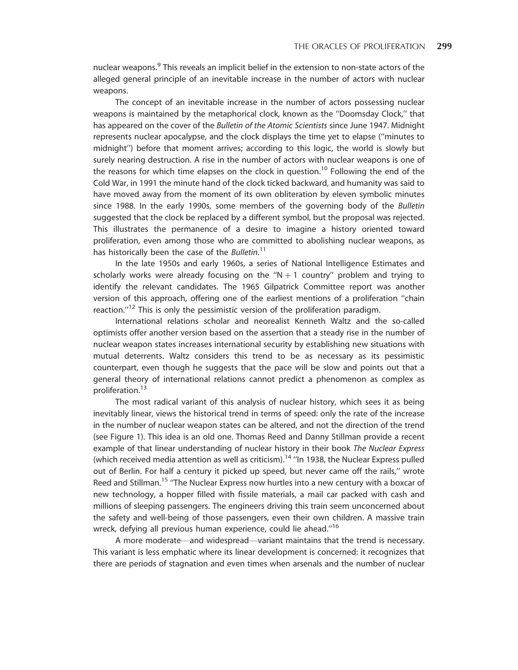nuclear weapons.<sup>9</sup> This reveals an implicit belief in the extension to non-state actors of the alleged general principle of an inevitable increase in the number of actors with nuclear weapons.

The concept of an inevitable increase in the number of actors possessing nuclear weapons is maintained by the metaphorical clock, known as the ''Doomsday Clock,'' that has appeared on the cover of the Bulletin of the Atomic Scientists since June 1947. Midnight represents nuclear apocalypse, and the clock displays the time yet to elapse (''minutes to midnight'') before that moment arrives; according to this logic, the world is slowly but surely nearing destruction. A rise in the number of actors with nuclear weapons is one of the reasons for which time elapses on the clock in question.<sup>10</sup> Following the end of the Cold War, in 1991 the minute hand of the clock ticked backward, and humanity was said to have moved away from the moment of its own obliteration by eleven symbolic minutes since 1988. In the early 1990s, some members of the governing body of the Bulletin suggested that the clock be replaced by a different symbol, but the proposal was rejected. This illustrates the permanence of a desire to imagine a history oriented toward proliferation, even among those who are committed to abolishing nuclear weapons, as has historically been the case of the Bulletin.<sup>11</sup>

In the late 1950s and early 1960s, a series of National Intelligence Estimates and scholarly works were already focusing on the " $N+1$  country" problem and trying to identify the relevant candidates. The 1965 Gilpatrick Committee report was another version of this approach, offering one of the earliest mentions of a proliferation ''chain reaction. $12$ <sup>12</sup> This is only the pessimistic version of the proliferation paradigm.

International relations scholar and neorealist Kenneth Waltz and the so-called optimists offer another version based on the assertion that a steady rise in the number of nuclear weapon states increases international security by establishing new situations with mutual deterrents. Waltz considers this trend to be as necessary as its pessimistic counterpart, even though he suggests that the pace will be slow and points out that a general theory of international relations cannot predict a phenomenon as complex as proliferation.<sup>13</sup>

The most radical variant of this analysis of nuclear history, which sees it as being inevitably linear, views the historical trend in terms of speed: only the rate of the increase in the number of nuclear weapon states can be altered, and not the direction of the trend (see Figure 1). This idea is an old one. Thomas Reed and Danny Stillman provide a recent example of that linear understanding of nuclear history in their book The Nuclear Express (which received media attention as well as criticism).<sup>14</sup> "In 1938, the Nuclear Express pulled out of Berlin. For half a century it picked up speed, but never came off the rails,'' wrote Reed and Stillman.<sup>15</sup> "The Nuclear Express now hurtles into a new century with a boxcar of new technology, a hopper filled with fissile materials, a mail car packed with cash and millions of sleeping passengers. The engineers driving this train seem unconcerned about the safety and well-being of those passengers, even their own children. A massive train wreck, defying all previous human experience, could lie ahead."<sup>16</sup>

A more moderate—and widespread—variant maintains that the trend is necessary. This variant is less emphatic where its linear development is concerned: it recognizes that there are periods of stagnation and even times when arsenals and the number of nuclear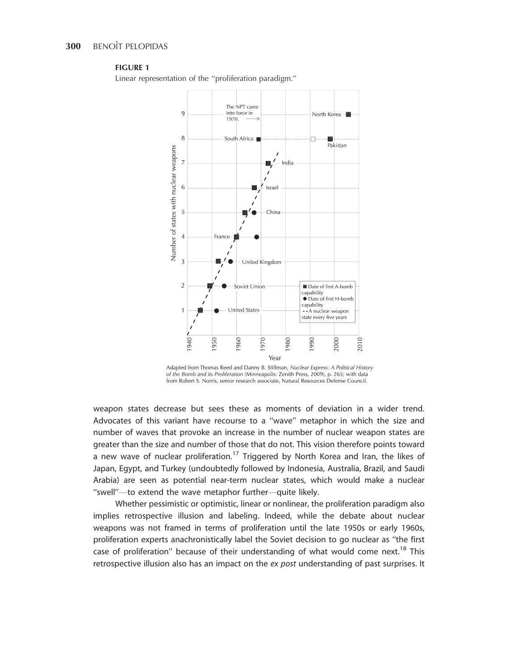#### FIGURE 1

Linear representation of the ''proliferation paradigm.''



Adapted from Thomas Reed and Danny B. Stillman, Nuclear Express: A Political History of the Bomb and its Proliferation (Minneapolis: Zenith Press, 2009), p. 265; with data from Robert S. Norris, senior research associate, Natural Resources Defense Council.

weapon states decrease but sees these as moments of deviation in a wider trend. Advocates of this variant have recourse to a ''wave'' metaphor in which the size and number of waves that provoke an increase in the number of nuclear weapon states are greater than the size and number of those that do not. This vision therefore points toward a new wave of nuclear proliferation.<sup>17</sup> Triggered by North Korea and Iran, the likes of Japan, Egypt, and Turkey (undoubtedly followed by Indonesia, Australia, Brazil, and Saudi Arabia) are seen as potential near-term nuclear states, which would make a nuclear "swell"-to extend the wave metaphor further-quite likely.

Whether pessimistic or optimistic, linear or nonlinear, the proliferation paradigm also implies retrospective illusion and labeling. Indeed, while the debate about nuclear weapons was not framed in terms of proliferation until the late 1950s or early 1960s, proliferation experts anachronistically label the Soviet decision to go nuclear as ''the first case of proliferation" because of their understanding of what would come next.<sup>18</sup> This retrospective illusion also has an impact on the ex post understanding of past surprises. It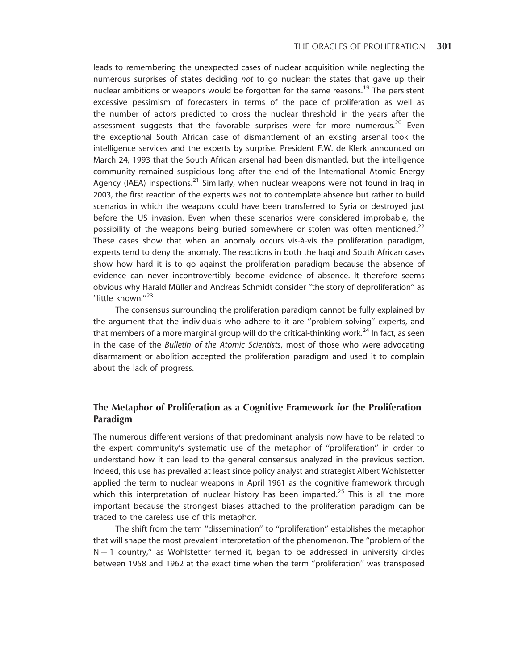leads to remembering the unexpected cases of nuclear acquisition while neglecting the numerous surprises of states deciding not to go nuclear; the states that gave up their nuclear ambitions or weapons would be forgotten for the same reasons.<sup>19</sup> The persistent excessive pessimism of forecasters in terms of the pace of proliferation as well as the number of actors predicted to cross the nuclear threshold in the years after the assessment suggests that the favorable surprises were far more numerous.<sup>20</sup> Even the exceptional South African case of dismantlement of an existing arsenal took the intelligence services and the experts by surprise. President F.W. de Klerk announced on March 24, 1993 that the South African arsenal had been dismantled, but the intelligence community remained suspicious long after the end of the International Atomic Energy Agency (IAEA) inspections.<sup>21</sup> Similarly, when nuclear weapons were not found in Iraq in 2003, the first reaction of the experts was not to contemplate absence but rather to build scenarios in which the weapons could have been transferred to Syria or destroyed just before the US invasion. Even when these scenarios were considered improbable, the possibility of the weapons being buried somewhere or stolen was often mentioned.<sup>22</sup> These cases show that when an anomaly occurs vis-à-vis the proliferation paradigm, experts tend to deny the anomaly. The reactions in both the Iraqi and South African cases show how hard it is to go against the proliferation paradigm because the absence of evidence can never incontrovertibly become evidence of absence. It therefore seems obvious why Harald Müller and Andreas Schmidt consider "the story of deproliferation" as "little known."<sup>23</sup>

The consensus surrounding the proliferation paradigm cannot be fully explained by the argument that the individuals who adhere to it are ''problem-solving'' experts, and that members of a more marginal group will do the critical-thinking work.<sup>24</sup> In fact, as seen in the case of the Bulletin of the Atomic Scientists, most of those who were advocating disarmament or abolition accepted the proliferation paradigm and used it to complain about the lack of progress.

## The Metaphor of Proliferation as a Cognitive Framework for the Proliferation Paradigm

The numerous different versions of that predominant analysis now have to be related to the expert community's systematic use of the metaphor of ''proliferation'' in order to understand how it can lead to the general consensus analyzed in the previous section. Indeed, this use has prevailed at least since policy analyst and strategist Albert Wohlstetter applied the term to nuclear weapons in April 1961 as the cognitive framework through which this interpretation of nuclear history has been imparted.<sup>25</sup> This is all the more important because the strongest biases attached to the proliferation paradigm can be traced to the careless use of this metaphor.

The shift from the term ''dissemination'' to ''proliferation'' establishes the metaphor that will shape the most prevalent interpretation of the phenomenon. The ''problem of the  $N + 1$  country," as Wohlstetter termed it, began to be addressed in university circles between 1958 and 1962 at the exact time when the term ''proliferation'' was transposed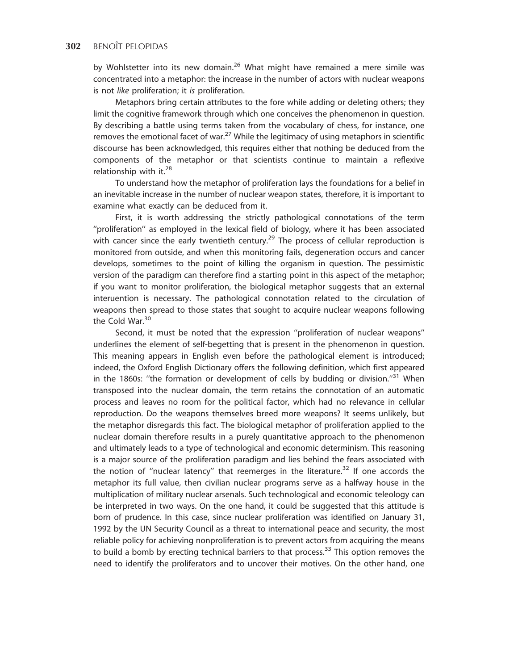by Wohlstetter into its new domain.<sup>26</sup> What might have remained a mere simile was concentrated into a metaphor: the increase in the number of actors with nuclear weapons is not like proliferation; it is proliferation.

Metaphors bring certain attributes to the fore while adding or deleting others; they limit the cognitive framework through which one conceives the phenomenon in question. By describing a battle using terms taken from the vocabulary of chess, for instance, one removes the emotional facet of war.<sup>27</sup> While the legitimacy of using metaphors in scientific discourse has been acknowledged, this requires either that nothing be deduced from the components of the metaphor or that scientists continue to maintain a reflexive relationship with it.<sup>28</sup>

To understand how the metaphor of proliferation lays the foundations for a belief in an inevitable increase in the number of nuclear weapon states, therefore, it is important to examine what exactly can be deduced from it.

First, it is worth addressing the strictly pathological connotations of the term ''proliferation'' as employed in the lexical field of biology, where it has been associated with cancer since the early twentieth century.<sup>29</sup> The process of cellular reproduction is monitored from outside, and when this monitoring fails, degeneration occurs and cancer develops, sometimes to the point of killing the organism in question. The pessimistic version of the paradigm can therefore find a starting point in this aspect of the metaphor; if you want to monitor proliferation, the biological metaphor suggests that an external interuention is necessary. The pathological connotation related to the circulation of weapons then spread to those states that sought to acquire nuclear weapons following the Cold War.<sup>30</sup>

Second, it must be noted that the expression ''proliferation of nuclear weapons'' underlines the element of self-begetting that is present in the phenomenon in question. This meaning appears in English even before the pathological element is introduced; indeed, the Oxford English Dictionary offers the following definition, which first appeared in the 1860s: "the formation or development of cells by budding or division."<sup>31</sup> When transposed into the nuclear domain, the term retains the connotation of an automatic process and leaves no room for the political factor, which had no relevance in cellular reproduction. Do the weapons themselves breed more weapons? It seems unlikely, but the metaphor disregards this fact. The biological metaphor of proliferation applied to the nuclear domain therefore results in a purely quantitative approach to the phenomenon and ultimately leads to a type of technological and economic determinism. This reasoning is a major source of the proliferation paradigm and lies behind the fears associated with the notion of "nuclear latency" that reemerges in the literature.<sup>32</sup> If one accords the metaphor its full value, then civilian nuclear programs serve as a halfway house in the multiplication of military nuclear arsenals. Such technological and economic teleology can be interpreted in two ways. On the one hand, it could be suggested that this attitude is born of prudence. In this case, since nuclear proliferation was identified on January 31, 1992 by the UN Security Council as a threat to international peace and security, the most reliable policy for achieving nonproliferation is to prevent actors from acquiring the means to build a bomb by erecting technical barriers to that process.<sup>33</sup> This option removes the need to identify the proliferators and to uncover their motives. On the other hand, one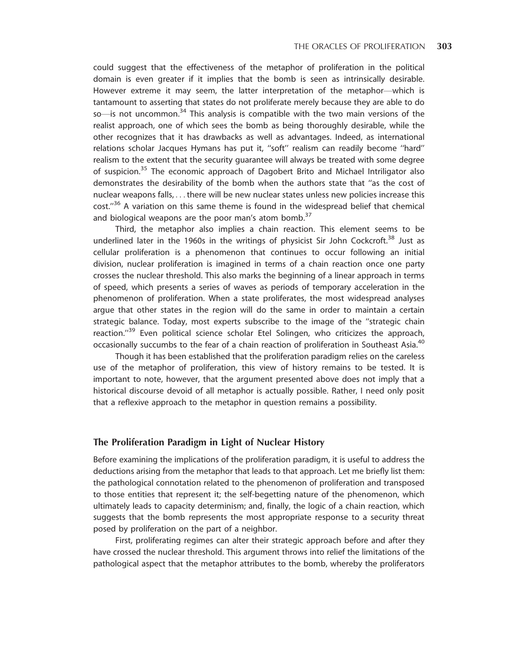could suggest that the effectiveness of the metaphor of proliferation in the political domain is even greater if it implies that the bomb is seen as intrinsically desirable. However extreme it may seem, the latter interpretation of the metaphor-which is tantamount to asserting that states do not proliferate merely because they are able to do so—is not uncommon.<sup>34</sup> This analysis is compatible with the two main versions of the realist approach, one of which sees the bomb as being thoroughly desirable, while the other recognizes that it has drawbacks as well as advantages. Indeed, as international relations scholar Jacques Hymans has put it, ''soft'' realism can readily become ''hard'' realism to the extent that the security guarantee will always be treated with some degree of suspicion.<sup>35</sup> The economic approach of Dagobert Brito and Michael Intriligator also demonstrates the desirability of the bomb when the authors state that ''as the cost of nuclear weapons falls, ... there will be new nuclear states unless new policies increase this cost."<sup>36</sup> A variation on this same theme is found in the widespread belief that chemical and biological weapons are the poor man's atom bomb.<sup>37</sup>

Third, the metaphor also implies a chain reaction. This element seems to be underlined later in the 1960s in the writings of physicist Sir John Cockcroft.<sup>38</sup> Just as cellular proliferation is a phenomenon that continues to occur following an initial division, nuclear proliferation is imagined in terms of a chain reaction once one party crosses the nuclear threshold. This also marks the beginning of a linear approach in terms of speed, which presents a series of waves as periods of temporary acceleration in the phenomenon of proliferation. When a state proliferates, the most widespread analyses argue that other states in the region will do the same in order to maintain a certain strategic balance. Today, most experts subscribe to the image of the ''strategic chain reaction."<sup>39</sup> Even political science scholar Etel Solingen, who criticizes the approach, occasionally succumbs to the fear of a chain reaction of proliferation in Southeast Asia.<sup>40</sup>

Though it has been established that the proliferation paradigm relies on the careless use of the metaphor of proliferation, this view of history remains to be tested. It is important to note, however, that the argument presented above does not imply that a historical discourse devoid of all metaphor is actually possible. Rather, I need only posit that a reflexive approach to the metaphor in question remains a possibility.

## The Proliferation Paradigm in Light of Nuclear History

Before examining the implications of the proliferation paradigm, it is useful to address the deductions arising from the metaphor that leads to that approach. Let me briefly list them: the pathological connotation related to the phenomenon of proliferation and transposed to those entities that represent it; the self-begetting nature of the phenomenon, which ultimately leads to capacity determinism; and, finally, the logic of a chain reaction, which suggests that the bomb represents the most appropriate response to a security threat posed by proliferation on the part of a neighbor.

First, proliferating regimes can alter their strategic approach before and after they have crossed the nuclear threshold. This argument throws into relief the limitations of the pathological aspect that the metaphor attributes to the bomb, whereby the proliferators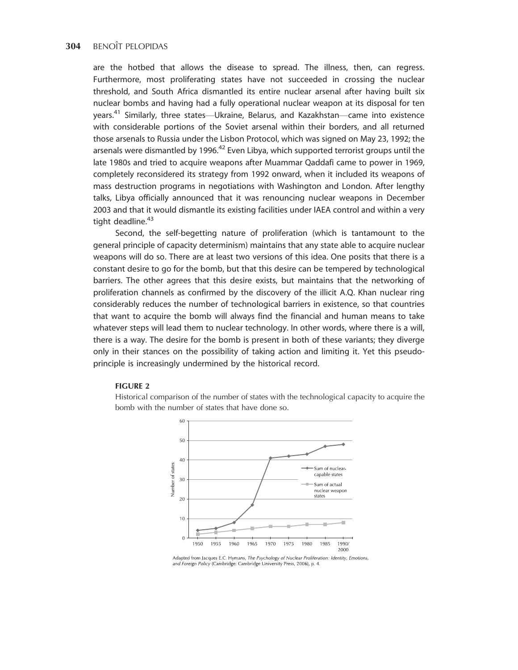are the hotbed that allows the disease to spread. The illness, then, can regress. Furthermore, most proliferating states have not succeeded in crossing the nuclear threshold, and South Africa dismantled its entire nuclear arsenal after having built six nuclear bombs and having had a fully operational nuclear weapon at its disposal for ten years.<sup>41</sup> Similarly, three states-Ukraine, Belarus, and Kazakhstan-came into existence with considerable portions of the Soviet arsenal within their borders, and all returned those arsenals to Russia under the Lisbon Protocol, which was signed on May 23, 1992; the arsenals were dismantled by 1996. $42$  Even Libya, which supported terrorist groups until the late 1980s and tried to acquire weapons after Muammar Qaddafi came to power in 1969, completely reconsidered its strategy from 1992 onward, when it included its weapons of mass destruction programs in negotiations with Washington and London. After lengthy talks, Libya officially announced that it was renouncing nuclear weapons in December 2003 and that it would dismantle its existing facilities under IAEA control and within a very tight deadline. $43$ 

Second, the self-begetting nature of proliferation (which is tantamount to the general principle of capacity determinism) maintains that any state able to acquire nuclear weapons will do so. There are at least two versions of this idea. One posits that there is a constant desire to go for the bomb, but that this desire can be tempered by technological barriers. The other agrees that this desire exists, but maintains that the networking of proliferation channels as confirmed by the discovery of the illicit A.Q. Khan nuclear ring considerably reduces the number of technological barriers in existence, so that countries that want to acquire the bomb will always find the financial and human means to take whatever steps will lead them to nuclear technology. In other words, where there is a will, there is a way. The desire for the bomb is present in both of these variants; they diverge only in their stances on the possibility of taking action and limiting it. Yet this pseudoprinciple is increasingly undermined by the historical record.

#### FIGURE 2

Historical comparison of the number of states with the technological capacity to acquire the bomb with the number of states that have done so.



Adapted from Jacques E.C. Hymans, The Psychology of Nuclear Proliferation: Identity, Emotions, and Foreign Policy (Cambridge: Cambridge University Press, 2006), p. 4.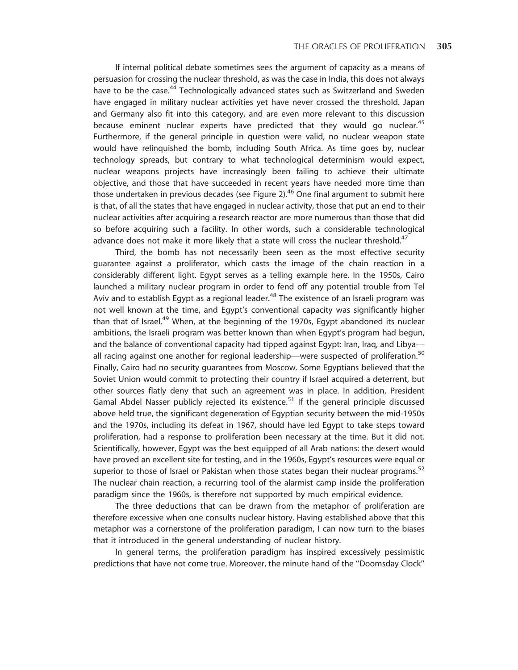If internal political debate sometimes sees the argument of capacity as a means of persuasion for crossing the nuclear threshold, as was the case in India, this does not always have to be the case.<sup>44</sup> Technologically advanced states such as Switzerland and Sweden have engaged in military nuclear activities yet have never crossed the threshold. Japan and Germany also fit into this category, and are even more relevant to this discussion because eminent nuclear experts have predicted that they would go nuclear.<sup>45</sup> Furthermore, if the general principle in question were valid, no nuclear weapon state would have relinquished the bomb, including South Africa. As time goes by, nuclear technology spreads, but contrary to what technological determinism would expect, nuclear weapons projects have increasingly been failing to achieve their ultimate objective, and those that have succeeded in recent years have needed more time than those undertaken in previous decades (see Figure 2).<sup>46</sup> One final argument to submit here is that, of all the states that have engaged in nuclear activity, those that put an end to their nuclear activities after acquiring a research reactor are more numerous than those that did so before acquiring such a facility. In other words, such a considerable technological advance does not make it more likely that a state will cross the nuclear threshold.<sup>47</sup>

Third, the bomb has not necessarily been seen as the most effective security guarantee against a proliferator, which casts the image of the chain reaction in a considerably different light. Egypt serves as a telling example here. In the 1950s, Cairo launched a military nuclear program in order to fend off any potential trouble from Tel Aviv and to establish Egypt as a regional leader.<sup>48</sup> The existence of an Israeli program was not well known at the time, and Egypt's conventional capacity was significantly higher than that of Israel.<sup>49</sup> When, at the beginning of the 1970s, Egypt abandoned its nuclear ambitions, the Israeli program was better known than when Egypt's program had begun, and the balance of conventional capacity had tipped against Egypt: Iran, Iraq, and Libyaall racing against one another for regional leadership—were suspected of proliferation.<sup>50</sup> Finally, Cairo had no security guarantees from Moscow. Some Egyptians believed that the Soviet Union would commit to protecting their country if Israel acquired a deterrent, but other sources flatly deny that such an agreement was in place. In addition, President Gamal Abdel Nasser publicly rejected its existence.<sup>51</sup> If the general principle discussed above held true, the significant degeneration of Egyptian security between the mid-1950s and the 1970s, including its defeat in 1967, should have led Egypt to take steps toward proliferation, had a response to proliferation been necessary at the time. But it did not. Scientifically, however, Egypt was the best equipped of all Arab nations: the desert would have proved an excellent site for testing, and in the 1960s, Egypt's resources were equal or superior to those of Israel or Pakistan when those states began their nuclear programs.<sup>52</sup> The nuclear chain reaction, a recurring tool of the alarmist camp inside the proliferation paradigm since the 1960s, is therefore not supported by much empirical evidence.

The three deductions that can be drawn from the metaphor of proliferation are therefore excessive when one consults nuclear history. Having established above that this metaphor was a cornerstone of the proliferation paradigm, I can now turn to the biases that it introduced in the general understanding of nuclear history.

In general terms, the proliferation paradigm has inspired excessively pessimistic predictions that have not come true. Moreover, the minute hand of the ''Doomsday Clock''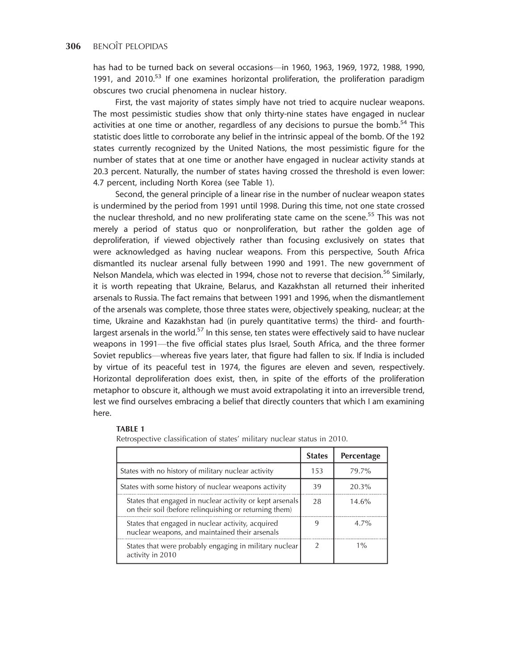has had to be turned back on several occasions-in 1960, 1963, 1969, 1972, 1988, 1990, 1991, and 2010.<sup>53</sup> If one examines horizontal proliferation, the proliferation paradigm obscures two crucial phenomena in nuclear history.

First, the vast majority of states simply have not tried to acquire nuclear weapons. The most pessimistic studies show that only thirty-nine states have engaged in nuclear activities at one time or another, regardless of any decisions to pursue the bomb.<sup>54</sup> This statistic does little to corroborate any belief in the intrinsic appeal of the bomb. Of the 192 states currently recognized by the United Nations, the most pessimistic figure for the number of states that at one time or another have engaged in nuclear activity stands at 20.3 percent. Naturally, the number of states having crossed the threshold is even lower: 4.7 percent, including North Korea (see Table 1).

Second, the general principle of a linear rise in the number of nuclear weapon states is undermined by the period from 1991 until 1998. During this time, not one state crossed the nuclear threshold, and no new proliferating state came on the scene.<sup>55</sup> This was not merely a period of status quo or nonproliferation, but rather the golden age of deproliferation, if viewed objectively rather than focusing exclusively on states that were acknowledged as having nuclear weapons. From this perspective, South Africa dismantled its nuclear arsenal fully between 1990 and 1991. The new government of Nelson Mandela, which was elected in 1994, chose not to reverse that decision.<sup>56</sup> Similarly, it is worth repeating that Ukraine, Belarus, and Kazakhstan all returned their inherited arsenals to Russia. The fact remains that between 1991 and 1996, when the dismantlement of the arsenals was complete, those three states were, objectively speaking, nuclear; at the time, Ukraine and Kazakhstan had (in purely quantitative terms) the third- and fourthlargest arsenals in the world.<sup>57</sup> In this sense, ten states were effectively said to have nuclear weapons in 1991-the five official states plus Israel, South Africa, and the three former Soviet republics—whereas five years later, that figure had fallen to six. If India is included by virtue of its peaceful test in 1974, the figures are eleven and seven, respectively. Horizontal deproliferation does exist, then, in spite of the efforts of the proliferation metaphor to obscure it, although we must avoid extrapolating it into an irreversible trend, lest we find ourselves embracing a belief that directly counters that which I am examining here.

#### TABLE 1

|                                                                                       | States | Percent           |
|---------------------------------------------------------------------------------------|--------|-------------------|
| States with no history of military nuclear activity                                   | 153    | 79.7 <sup>c</sup> |
| . One recent this compact is the compact of a small compact of a compact of the state |        | 2022              |

Retrospective classification of states' military nuclear status in 2010.

| States with some history of nuclear weapons activity                                                               | 39 | 20.3%             |
|--------------------------------------------------------------------------------------------------------------------|----|-------------------|
| States that engaged in nuclear activity or kept arsenals<br>on their soil (before relinquishing or returning them) | 28 | $14.6\%$          |
| States that engaged in nuclear activity, acquired<br>nuclear weapons, and maintained their arsenals                |    | $4.7\%$           |
| States that were probably engaging in military nuclear<br>activity in 2010                                         |    | $\sigma_{\alpha}$ |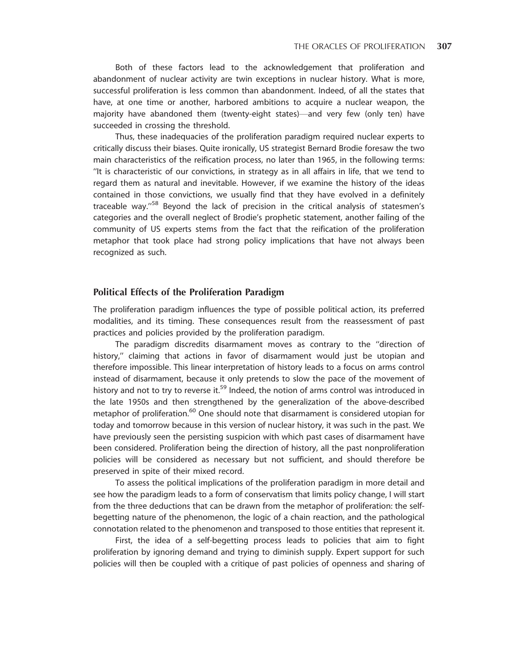Both of these factors lead to the acknowledgement that proliferation and abandonment of nuclear activity are twin exceptions in nuclear history. What is more, successful proliferation is less common than abandonment. Indeed, of all the states that have, at one time or another, harbored ambitions to acquire a nuclear weapon, the majority have abandoned them (twenty-eight states)—and very few (only ten) have succeeded in crossing the threshold.

Thus, these inadequacies of the proliferation paradigm required nuclear experts to critically discuss their biases. Quite ironically, US strategist Bernard Brodie foresaw the two main characteristics of the reification process, no later than 1965, in the following terms: ''It is characteristic of our convictions, in strategy as in all affairs in life, that we tend to regard them as natural and inevitable. However, if we examine the history of the ideas contained in those convictions, we usually find that they have evolved in a definitely traceable way."<sup>58</sup> Beyond the lack of precision in the critical analysis of statesmen's categories and the overall neglect of Brodie's prophetic statement, another failing of the community of US experts stems from the fact that the reification of the proliferation metaphor that took place had strong policy implications that have not always been recognized as such.

## Political Effects of the Proliferation Paradigm

The proliferation paradigm influences the type of possible political action, its preferred modalities, and its timing. These consequences result from the reassessment of past practices and policies provided by the proliferation paradigm.

The paradigm discredits disarmament moves as contrary to the ''direction of history,'' claiming that actions in favor of disarmament would just be utopian and therefore impossible. This linear interpretation of history leads to a focus on arms control instead of disarmament, because it only pretends to slow the pace of the movement of history and not to try to reverse it.<sup>59</sup> Indeed, the notion of arms control was introduced in the late 1950s and then strengthened by the generalization of the above-described metaphor of proliferation.<sup>60</sup> One should note that disarmament is considered utopian for today and tomorrow because in this version of nuclear history, it was such in the past. We have previously seen the persisting suspicion with which past cases of disarmament have been considered. Proliferation being the direction of history, all the past nonproliferation policies will be considered as necessary but not sufficient, and should therefore be preserved in spite of their mixed record.

To assess the political implications of the proliferation paradigm in more detail and see how the paradigm leads to a form of conservatism that limits policy change, I will start from the three deductions that can be drawn from the metaphor of proliferation: the selfbegetting nature of the phenomenon, the logic of a chain reaction, and the pathological connotation related to the phenomenon and transposed to those entities that represent it.

First, the idea of a self-begetting process leads to policies that aim to fight proliferation by ignoring demand and trying to diminish supply. Expert support for such policies will then be coupled with a critique of past policies of openness and sharing of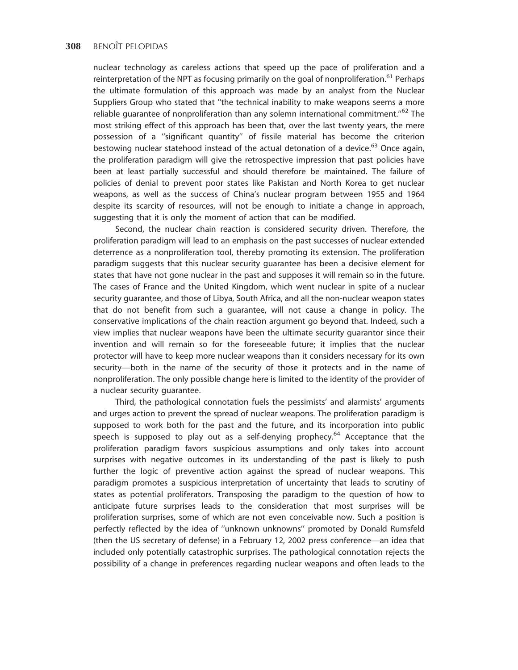nuclear technology as careless actions that speed up the pace of proliferation and a reinterpretation of the NPT as focusing primarily on the goal of nonproliferation.<sup>61</sup> Perhaps the ultimate formulation of this approach was made by an analyst from the Nuclear Suppliers Group who stated that ''the technical inability to make weapons seems a more reliable guarantee of nonproliferation than any solemn international commitment."<sup>62</sup> The most striking effect of this approach has been that, over the last twenty years, the mere possession of a ''significant quantity'' of fissile material has become the criterion bestowing nuclear statehood instead of the actual detonation of a device.<sup>63</sup> Once again, the proliferation paradigm will give the retrospective impression that past policies have been at least partially successful and should therefore be maintained. The failure of policies of denial to prevent poor states like Pakistan and North Korea to get nuclear weapons, as well as the success of China's nuclear program between 1955 and 1964 despite its scarcity of resources, will not be enough to initiate a change in approach, suggesting that it is only the moment of action that can be modified.

Second, the nuclear chain reaction is considered security driven. Therefore, the proliferation paradigm will lead to an emphasis on the past successes of nuclear extended deterrence as a nonproliferation tool, thereby promoting its extension. The proliferation paradigm suggests that this nuclear security guarantee has been a decisive element for states that have not gone nuclear in the past and supposes it will remain so in the future. The cases of France and the United Kingdom, which went nuclear in spite of a nuclear security guarantee, and those of Libya, South Africa, and all the non-nuclear weapon states that do not benefit from such a guarantee, will not cause a change in policy. The conservative implications of the chain reaction argument go beyond that. Indeed, such a view implies that nuclear weapons have been the ultimate security guarantor since their invention and will remain so for the foreseeable future; it implies that the nuclear protector will have to keep more nuclear weapons than it considers necessary for its own security-both in the name of the security of those it protects and in the name of nonproliferation. The only possible change here is limited to the identity of the provider of a nuclear security guarantee.

Third, the pathological connotation fuels the pessimists' and alarmists' arguments and urges action to prevent the spread of nuclear weapons. The proliferation paradigm is supposed to work both for the past and the future, and its incorporation into public speech is supposed to play out as a self-denying prophecy.<sup>64</sup> Acceptance that the proliferation paradigm favors suspicious assumptions and only takes into account surprises with negative outcomes in its understanding of the past is likely to push further the logic of preventive action against the spread of nuclear weapons. This paradigm promotes a suspicious interpretation of uncertainty that leads to scrutiny of states as potential proliferators. Transposing the paradigm to the question of how to anticipate future surprises leads to the consideration that most surprises will be proliferation surprises, some of which are not even conceivable now. Such a position is perfectly reflected by the idea of ''unknown unknowns'' promoted by Donald Rumsfeld (then the US secretary of defense) in a February 12, 2002 press conference—an idea that included only potentially catastrophic surprises. The pathological connotation rejects the possibility of a change in preferences regarding nuclear weapons and often leads to the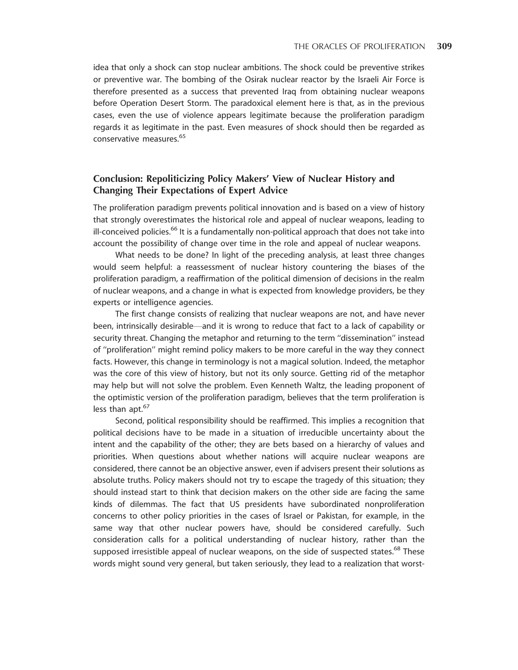idea that only a shock can stop nuclear ambitions. The shock could be preventive strikes or preventive war. The bombing of the Osirak nuclear reactor by the Israeli Air Force is therefore presented as a success that prevented Iraq from obtaining nuclear weapons before Operation Desert Storm. The paradoxical element here is that, as in the previous cases, even the use of violence appears legitimate because the proliferation paradigm regards it as legitimate in the past. Even measures of shock should then be regarded as conservative measures.<sup>65</sup>

## Conclusion: Repoliticizing Policy Makers' View of Nuclear History and Changing Their Expectations of Expert Advice

The proliferation paradigm prevents political innovation and is based on a view of history that strongly overestimates the historical role and appeal of nuclear weapons, leading to ill-conceived policies.<sup>66</sup> It is a fundamentally non-political approach that does not take into account the possibility of change over time in the role and appeal of nuclear weapons.

What needs to be done? In light of the preceding analysis, at least three changes would seem helpful: a reassessment of nuclear history countering the biases of the proliferation paradigm, a reaffirmation of the political dimension of decisions in the realm of nuclear weapons, and a change in what is expected from knowledge providers, be they experts or intelligence agencies.

The first change consists of realizing that nuclear weapons are not, and have never been, intrinsically desirable—and it is wrong to reduce that fact to a lack of capability or security threat. Changing the metaphor and returning to the term "dissemination" instead of ''proliferation'' might remind policy makers to be more careful in the way they connect facts. However, this change in terminology is not a magical solution. Indeed, the metaphor was the core of this view of history, but not its only source. Getting rid of the metaphor may help but will not solve the problem. Even Kenneth Waltz, the leading proponent of the optimistic version of the proliferation paradigm, believes that the term proliferation is less than apt.<sup>67</sup>

Second, political responsibility should be reaffirmed. This implies a recognition that political decisions have to be made in a situation of irreducible uncertainty about the intent and the capability of the other; they are bets based on a hierarchy of values and priorities. When questions about whether nations will acquire nuclear weapons are considered, there cannot be an objective answer, even if advisers present their solutions as absolute truths. Policy makers should not try to escape the tragedy of this situation; they should instead start to think that decision makers on the other side are facing the same kinds of dilemmas. The fact that US presidents have subordinated nonproliferation concerns to other policy priorities in the cases of Israel or Pakistan, for example, in the same way that other nuclear powers have, should be considered carefully. Such consideration calls for a political understanding of nuclear history, rather than the supposed irresistible appeal of nuclear weapons, on the side of suspected states.<sup>68</sup> These words might sound very general, but taken seriously, they lead to a realization that worst-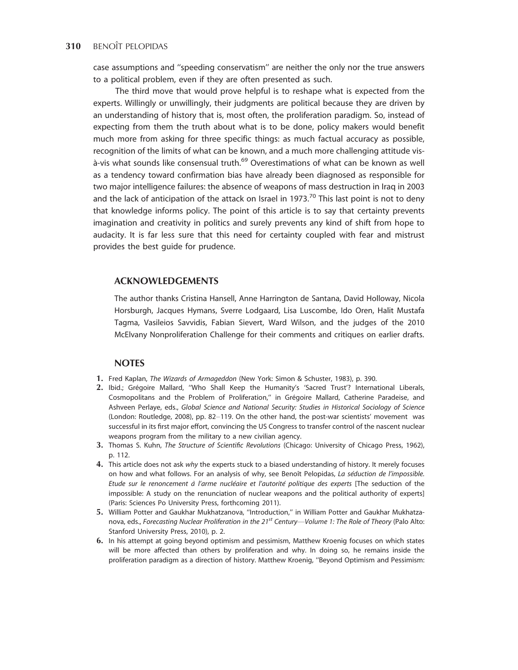case assumptions and ''speeding conservatism'' are neither the only nor the true answers to a political problem, even if they are often presented as such.

The third move that would prove helpful is to reshape what is expected from the experts. Willingly or unwillingly, their judgments are political because they are driven by an understanding of history that is, most often, the proliferation paradigm. So, instead of expecting from them the truth about what is to be done, policy makers would benefit much more from asking for three specific things: as much factual accuracy as possible, recognition of the limits of what can be known, and a much more challenging attitude visà-vis what sounds like consensual truth.<sup>69</sup> Overestimations of what can be known as well as a tendency toward confirmation bias have already been diagnosed as responsible for two major intelligence failures: the absence of weapons of mass destruction in Iraq in 2003 and the lack of anticipation of the attack on Israel in 1973.<sup>70</sup> This last point is not to deny that knowledge informs policy. The point of this article is to say that certainty prevents imagination and creativity in politics and surely prevents any kind of shift from hope to audacity. It is far less sure that this need for certainty coupled with fear and mistrust provides the best guide for prudence.

## ACKNOWLEDGEMENTS

The author thanks Cristina Hansell, Anne Harrington de Santana, David Holloway, Nicola Horsburgh, Jacques Hymans, Sverre Lodgaard, Lisa Luscombe, Ido Oren, Halit Mustafa Tagma, Vasileios Savvidis, Fabian Sievert, Ward Wilson, and the judges of the 2010 McElvany Nonproliferation Challenge for their comments and critiques on earlier drafts.

## NOTES

- 1. Fred Kaplan, The Wizards of Armageddon (New York: Simon & Schuster, 1983), p. 390.
- 2. Ibid.; Grégoire Mallard, "Who Shall Keep the Humanity's 'Sacred Trust'? International Liberals, Cosmopolitans and the Problem of Proliferation," in Grégoire Mallard, Catherine Paradeise, and Ashveen Perlaye, eds., Global Science and National Security: Studies in Historical Sociology of Science (London: Routledge, 2008), pp. 82-119. On the other hand, the post-war scientists' movement was successful in its first major effort, convincing the US Congress to transfer control of the nascent nuclear weapons program from the military to a new civilian agency.
- 3. Thomas S. Kuhn, The Structure of Scientific Revolutions (Chicago: University of Chicago Press, 1962), p. 112.
- 4. This article does not ask why the experts stuck to a biased understanding of history. It merely focuses on how and what follows. For an analysis of why, see Benoît Pelopidas, La séduction de l'impossible. Etude sur le renoncement à l'arme nucléaire et l'autorité politique des experts [The seduction of the impossible: A study on the renunciation of nuclear weapons and the political authority of experts] (Paris: Sciences Po University Press, forthcoming 2011).
- 5. William Potter and Gaukhar Mukhatzanova, ''Introduction,'' in William Potter and Gaukhar Mukhatzanova, eds., Forecasting Nuclear Proliferation in the 21<sup>st</sup> Century-Volume 1: The Role of Theory (Palo Alto: Stanford University Press, 2010), p. 2.
- 6. In his attempt at going beyond optimism and pessimism, Matthew Kroenig focuses on which states will be more affected than others by proliferation and why. In doing so, he remains inside the proliferation paradigm as a direction of history. Matthew Kroenig, ''Beyond Optimism and Pessimism: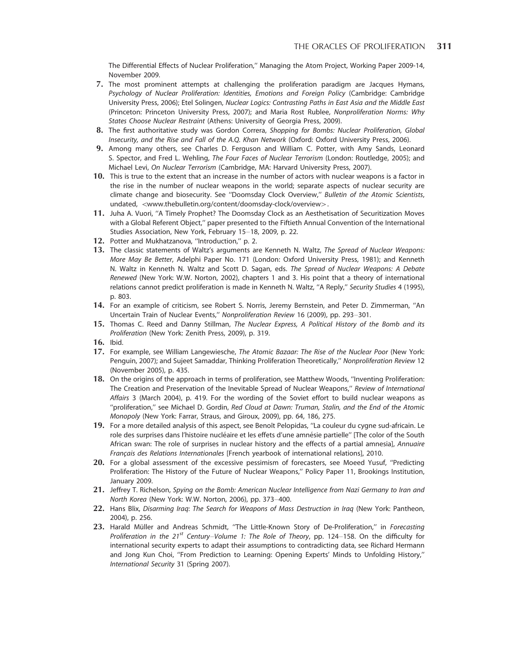The Differential Effects of Nuclear Proliferation,'' Managing the Atom Project, Working Paper 2009-14, November 2009.

- 7. The most prominent attempts at challenging the proliferation paradigm are Jacques Hymans, Psychology of Nuclear Proliferation: Identities, Emotions and Foreign Policy (Cambridge: Cambridge University Press, 2006); Etel Solingen, Nuclear Logics: Contrasting Paths in East Asia and the Middle East (Princeton: Princeton University Press, 2007); and Maria Rost Rublee, Nonproliferation Norms: Why States Choose Nuclear Restraint (Athens: University of Georgia Press, 2009).
- 8. The first authoritative study was Gordon Correra, Shopping for Bombs: Nuclear Proliferation, Global Insecurity, and the Rise and Fall of the A.Q. Khan Network (Oxford: Oxford University Press, 2006).
- 9. Among many others, see Charles D. Ferguson and William C. Potter, with Amy Sands, Leonard S. Spector, and Fred L. Wehling, The Four Faces of Nuclear Terrorism (London: Routledge, 2005); and Michael Levi, On Nuclear Terrorism (Cambridge, MA: Harvard University Press, 2007).
- 10. This is true to the extent that an increase in the number of actors with nuclear weapons is a factor in the rise in the number of nuclear weapons in the world; separate aspects of nuclear security are climate change and biosecurity. See ''Doomsday Clock Overview,'' Bulletin of the Atomic Scientists, undated, <www.thebulletin.org/content/doomsday-clock/overview>.
- 11. Juha A. Vuori, ''A Timely Prophet? The Doomsday Clock as an Aesthetisation of Securitization Moves with a Global Referent Object,'' paper presented to the Fiftieth Annual Convention of the International Studies Association, New York, February 15-18, 2009, p. 22.
- 12. Potter and Mukhatzanova, ''Introduction,'' p. 2.
- 13. The classic statements of Waltz's arguments are Kenneth N. Waltz, The Spread of Nuclear Weapons: More May Be Better, Adelphi Paper No. 171 (London: Oxford University Press, 1981); and Kenneth N. Waltz in Kenneth N. Waltz and Scott D. Sagan, eds. The Spread of Nuclear Weapons: A Debate Renewed (New York: W.W. Norton, 2002), chapters 1 and 3. His point that a theory of international relations cannot predict proliferation is made in Kenneth N. Waltz, ''A Reply,'' Security Studies 4 (1995), p. 803.
- 14. For an example of criticism, see Robert S. Norris, Jeremy Bernstein, and Peter D. Zimmerman, ''An Uncertain Train of Nuclear Events," Nonproliferation Review 16 (2009), pp. 293-301.
- 15. Thomas C. Reed and Danny Stillman, The Nuclear Express, A Political History of the Bomb and its Proliferation (New York: Zenith Press, 2009), p. 319.
- 16. Ibid.
- 17. For example, see William Langewiesche, The Atomic Bazaar: The Rise of the Nuclear Poor (New York: Penguin, 2007); and Sujeet Samaddar, Thinking Proliferation Theoretically,'' Nonproliferation Review 12 (November 2005), p. 435.
- 18. On the origins of the approach in terms of proliferation, see Matthew Woods, ''Inventing Proliferation: The Creation and Preservation of the Inevitable Spread of Nuclear Weapons,'' Review of International Affairs 3 (March 2004), p. 419. For the wording of the Soviet effort to build nuclear weapons as ''proliferation,'' see Michael D. Gordin, Red Cloud at Dawn: Truman, Stalin, and the End of the Atomic Monopoly (New York: Farrar, Straus, and Giroux, 2009), pp. 64, 186, 275.
- 19. For a more detailed analysis of this aspect, see Benoît Pelopidas, "La couleur du cygne sud-africain. Le role des surprises dans l'histoire nucléaire et les effets d'une amnésie partielle" [The color of the South African swan: The role of surprises in nuclear history and the effects of a partial amnesia], Annuaire Français des Relations Internationales [French yearbook of international relations], 2010.
- 20. For a global assessment of the excessive pessimism of forecasters, see Moeed Yusuf, "Predicting Proliferation: The History of the Future of Nuclear Weapons,'' Policy Paper 11, Brookings Institution, January 2009.
- 21. Jeffrey T. Richelson, Spying on the Bomb: American Nuclear Intelligence from Nazi Germany to Iran and North Korea (New York: W.W. Norton, 2006), pp. 373-400.
- 22. Hans Blix, Disarming Iraq: The Search for Weapons of Mass Destruction in Iraq (New York: Pantheon, 2004), p. 256.
- 23. Harald Müller and Andreas Schmidt, "The Little-Known Story of De-Proliferation," in Forecasting Proliferation in the 21<sup>st</sup> Century-Volume 1: The Role of Theory, pp. 124-158. On the difficulty for international security experts to adapt their assumptions to contradicting data, see Richard Hermann and Jong Kun Choi, ''From Prediction to Learning: Opening Experts' Minds to Unfolding History,'' International Security 31 (Spring 2007).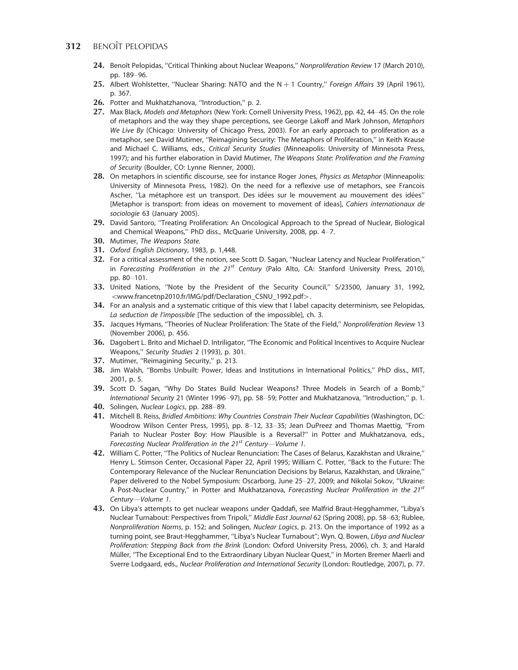- 24. Benoît Pelopidas, "Critical Thinking about Nuclear Weapons," Nonproliferation Review 17 (March 2010), pp. 189-96.
- 25. Albert Wohlstetter, "Nuclear Sharing: NATO and the  $N + 1$  Country," Foreign Affairs 39 (April 1961), p. 367.
- 26. Potter and Mukhatzhanova, ''Introduction,'' p. 2.
- 27. Max Black, Models and Metaphors (New York: Cornell University Press, 1962), pp. 42, 44-45. On the role of metaphors and the way they shape perceptions, see George Lakoff and Mark Johnson, Metaphors We Live By (Chicago: University of Chicago Press, 2003). For an early approach to proliferation as a metaphor, see David Mutimer, ''Reimagining Security: The Metaphors of Proliferation,'' in Keith Krause and Michael C. Williams, eds., Critical Security Studies (Minneapolis: University of Minnesota Press, 1997); and his further elaboration in David Mutimer, The Weapons State: Proliferation and the Framing of Security (Boulder, CO: Lynne Rienner, 2000).
- 28. On metaphors in scientific discourse, see for instance Roger Jones, Physics as Metaphor (Minneapolis: University of Minnesota Press, 1982). On the need for a reflexive use of metaphors, see Francois Ascher, "La métaphore est un transport. Des idées sur le mouvement au mouvement des idées" [Metaphor is transport: from ideas on movement to movement of ideas], Cahiers internationaux de sociologie 63 (January 2005).
- 29. David Santoro, ''Treating Proliferation: An Oncological Approach to the Spread of Nuclear, Biological and Chemical Weapons," PhD diss., McQuarie University, 2008, pp. 4-7.
- 30. Mutimer, The Weapons State.
- 31. Oxford English Dictionary, 1983, p. 1,448.
- 32. For a critical assessment of the notion, see Scott D. Sagan, ''Nuclear Latency and Nuclear Proliferation,'' in Forecasting Proliferation in the 21<sup>st</sup> Century (Palo Alto, CA: Stanford University Press, 2010), pp. 80-101.
- 33. United Nations, ''Note by the President of the Security Council,'' S/23500, January 31, 1992, <www.francetnp2010.fr/IMG/pdf/Declaration\_CSNU\_1992.pdf>.
- 34. For an analysis and a systematic critique of this view that I label capacity determinism, see Pelopidas, La seduction de l'impossible [The seduction of the impossible], ch. 3.
- 35. Jacques Hymans, "Theories of Nuclear Proliferation: The State of the Field," Nonproliferation Review 13 (November 2006), p. 456.
- 36. Dagobert L. Brito and Michael D. Intriligator, ''The Economic and Political Incentives to Acquire Nuclear Weapons,'' Security Studies 2 (1993), p. 301.
- 37. Mutimer, ''Reimagining Security,'' p. 213.
- 38. Jim Walsh, ''Bombs Unbuilt: Power, Ideas and Institutions in International Politics,'' PhD diss., MIT, 2001, p. 5.
- 39. Scott D. Sagan, ''Why Do States Build Nuclear Weapons? Three Models in Search of a Bomb,'' International Security 21 (Winter 1996-97), pp. 58-59; Potter and Mukhatzanova, "Introduction," p. 1.
- 40. Solingen, Nuclear Logics, pp. 288-89.
- 41. Mitchell B. Reiss, Bridled Ambitions: Why Countries Constrain Their Nuclear Capabilities (Washington, DC: Woodrow Wilson Center Press, 1995), pp. 8–12, 33–35; Jean DuPreez and Thomas Maettig, "From Pariah to Nuclear Poster Boy: How Plausible is a Reversal?'' in Potter and Mukhatzanova, eds., Forecasting Nuclear Proliferation in the 21<sup>st</sup> Century—Volume 1.
- 42. William C. Potter, ''The Politics of Nuclear Renunciation: The Cases of Belarus, Kazakhstan and Ukraine,'' Henry L. Stimson Center, Occasional Paper 22, April 1995; William C. Potter, ''Back to the Future: The Contemporary Relevance of the Nuclear Renunciation Decisions by Belarus, Kazakhstan, and Ukraine,'' Paper delivered to the Nobel Symposium: Oscarborg, June 25-27, 2009; and Nikolai Sokov, "Ukraine: A Post-Nuclear Country," in Potter and Mukhatzanova, Forecasting Nuclear Proliferation in the 21<sup>st</sup> Century-Volume 1.
- 43. On Libya's attempts to get nuclear weapons under Qaddafi, see Malfrid Braut-Hegghammer, ''Libya's Nuclear Turnabout: Perspectives from Tripoli," Middle East Journal 62 (Spring 2008), pp. 58-63; Rublee, Nonproliferation Norms, p. 152; and Solingen, Nuclear Logics, p. 213. On the importance of 1992 as a turning point, see Braut-Hegghammer, "Libya's Nuclear Turnabout"; Wyn. Q. Bowen, Libya and Nuclear Proliferation: Stepping Back from the Brink (London: Oxford University Press, 2006), ch. 3; and Harald Müller, "The Exceptional End to the Extraordinary Libyan Nuclear Quest," in Morten Bremer Maerli and Sverre Lodgaard, eds., Nuclear Proliferation and International Security (London: Routledge, 2007), p. 77.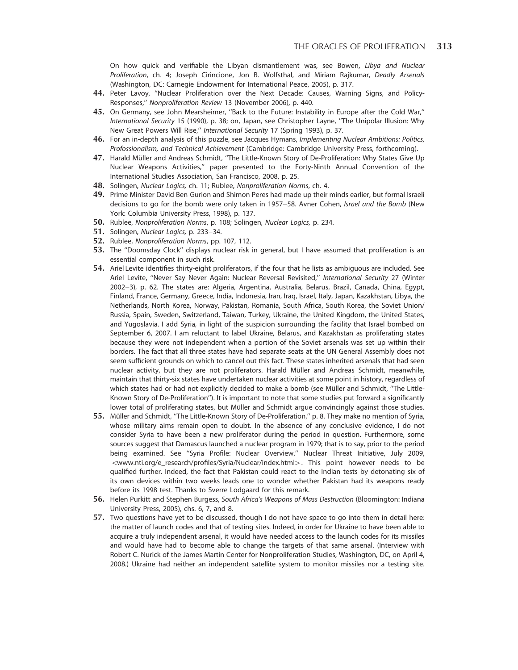On how quick and verifiable the Libyan dismantlement was, see Bowen, Libya and Nuclear Proliferation, ch. 4; Joseph Cirincione, Jon B. Wolfsthal, and Miriam Rajkumar, Deadly Arsenals (Washington, DC: Carnegie Endowment for International Peace, 2005), p. 317.

- 44. Peter Lavoy, "Nuclear Proliferation over the Next Decade: Causes, Warning Signs, and Policy-Responses,'' Nonproliferation Review 13 (November 2006), p. 440.
- 45. On Germany, see John Mearsheimer, ''Back to the Future: Instability in Europe after the Cold War,'' International Security 15 (1990), p. 38; on, Japan, see Christopher Layne, ''The Unipolar Illusion: Why New Great Powers Will Rise,'' International Security 17 (Spring 1993), p. 37.
- 46. For an in-depth analysis of this puzzle, see Jacques Hymans, Implementing Nuclear Ambitions: Politics, Profossionalism, and Technical Achievement (Cambridge: Cambridge University Press, forthcoming).
- 47. Harald Müller and Andreas Schmidt, 'The Little-Known Story of De-Proliferation: Why States Give Up Nuclear Weapons Activities,'' paper presented to the Forty-Ninth Annual Convention of the International Studies Association, San Francisco, 2008, p. 25.
- 48. Solingen, Nuclear Logics, ch. 11; Rublee, Nonproliferation Norms, ch. 4.
- 49. Prime Minister David Ben-Gurion and Shimon Peres had made up their minds earlier, but formal Israeli decisions to go for the bomb were only taken in 1957-58. Avner Cohen, Israel and the Bomb (New York: Columbia University Press, 1998), p. 137.
- 50. Rublee, Nonproliferation Norms, p. 108; Solingen, Nuclear Logics, p. 234.
- 51. Solingen, Nuclear Logics, p. 233-34.
- 52. Rublee, Nonproliferation Norms, pp. 107, 112.
- 53. The ''Doomsday Clock'' displays nuclear risk in general, but I have assumed that proliferation is an essential component in such risk.
- 54. Ariel Levite identifies thirty-eight proliferators, if the four that he lists as ambiguous are included. See Ariel Levite, "Never Say Never Again: Nuclear Reversal Revisited," International Security 27 (Winter 2002-3), p. 62. The states are: Algeria, Argentina, Australia, Belarus, Brazil, Canada, China, Egypt, Finland, France, Germany, Greece, India, Indonesia, Iran, Iraq, Israel, Italy, Japan, Kazakhstan, Libya, the Netherlands, North Korea, Norway, Pakistan, Romania, South Africa, South Korea, the Soviet Union/ Russia, Spain, Sweden, Switzerland, Taiwan, Turkey, Ukraine, the United Kingdom, the United States, and Yugoslavia. I add Syria, in light of the suspicion surrounding the facility that Israel bombed on September 6, 2007. I am reluctant to label Ukraine, Belarus, and Kazakhstan as proliferating states because they were not independent when a portion of the Soviet arsenals was set up within their borders. The fact that all three states have had separate seats at the UN General Assembly does not seem sufficient grounds on which to cancel out this fact. These states inherited arsenals that had seen nuclear activity, but they are not proliferators. Harald Müller and Andreas Schmidt, meanwhile, maintain that thirty-six states have undertaken nuclear activities at some point in history, regardless of which states had or had not explicitly decided to make a bomb (see Müller and Schmidt, "The Little-Known Story of De-Proliferation''). It is important to note that some studies put forward a significantly lower total of proliferating states, but Müller and Schmidt argue convincingly against those studies.
- 55. Müller and Schmidt, "The Little-Known Story of De-Proliferation," p. 8. They make no mention of Syria, whose military aims remain open to doubt. In the absence of any conclusive evidence, I do not consider Syria to have been a new proliferator during the period in question. Furthermore, some sources suggest that Damascus launched a nuclear program in 1979; that is to say, prior to the period being examined. See ''Syria Profile: Nuclear Overview,'' Nuclear Threat Initiative, July 2009,  $\leq$ www.nti.org/e\_research/profiles/Syria/Nuclear/index.html $>$ . This point however needs to be qualified further. Indeed, the fact that Pakistan could react to the Indian tests by detonating six of its own devices within two weeks leads one to wonder whether Pakistan had its weapons ready before its 1998 test. Thanks to Sverre Lodgaard for this remark.
- 56. Helen Purkitt and Stephen Burgess, South Africa's Weapons of Mass Destruction (Bloomington: Indiana University Press, 2005), chs. 6, 7, and 8.
- 57. Two questions have yet to be discussed, though I do not have space to go into them in detail here: the matter of launch codes and that of testing sites. Indeed, in order for Ukraine to have been able to acquire a truly independent arsenal, it would have needed access to the launch codes for its missiles and would have had to become able to change the targets of that same arsenal. (Interview with Robert C. Nurick of the James Martin Center for Nonproliferation Studies, Washington, DC, on April 4, 2008.) Ukraine had neither an independent satellite system to monitor missiles nor a testing site.